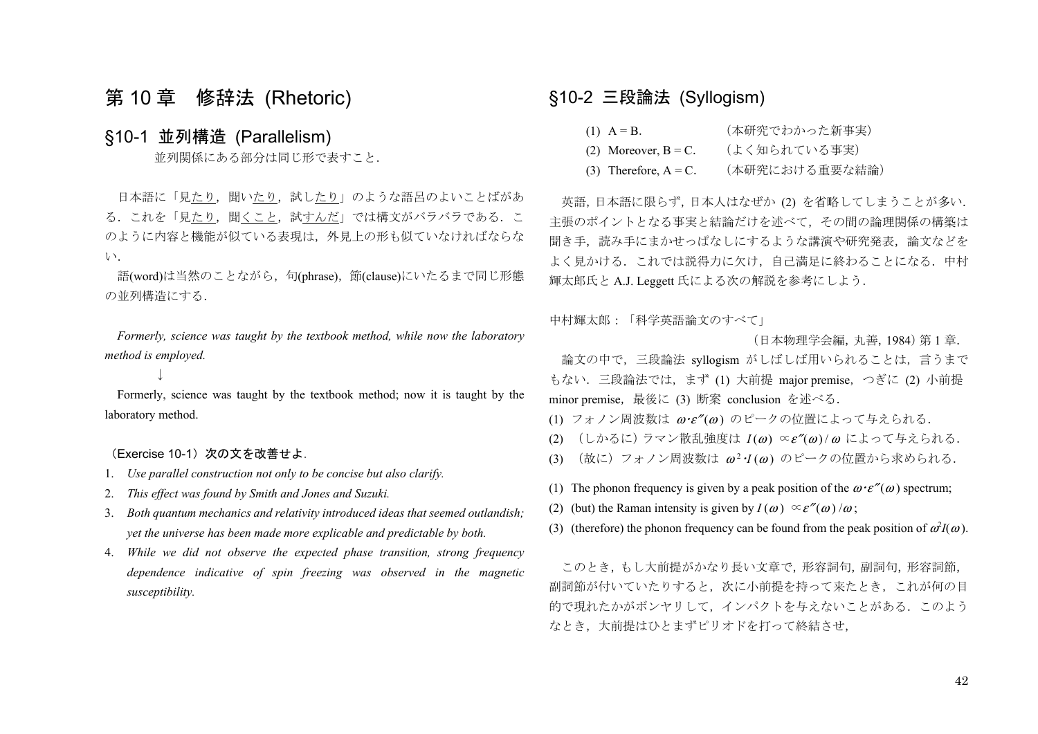# 第 10 章 修辞法 (Rhetoric)

## §10-1 並列構造 (Parallelism)

並列関係にある部分は同じ形で表すこと.

日本語に「見たり、聞いたり、試したり」のような語呂のよいことばがあ る. これを「見たり,聞くこと,試すんだ」では構文がバラバラである. こ のように内容と機能が似ている表現は,外見上の形も似ていなければならな **い**.

語(word)は当然のことながら、句(phrase), 節(clause)にいたるまで同じ形態 の並列構造にする.

 *Formerly, science was taught by the textbook method, while now the laboratory method is employed.* 

#### ↓

 Formerly, science was taught by the textbook method; now it is taught by the laboratory method.

(Exercise 10-1) 次の文を改善せよ.

- 1. *Use parallel construction not only to be concise but also clarify.*
- 2. *This effect was found by Smith and Jones and Suzuki.*
- 3. *Both quantum mechanics and relativity introduced ideas that seemed outlandish; yet the universe has been made more explicable and predictable by both.*
- 4. *While we did not observe the expected phase transition, strong frequency dependence indicative of spin freezing was observed in the magnetic susceptibility.*

## §10-2 三段論法 (Syllogism)

| $(1)$ $A = B$ .            | (本研究でわかった新事実)  |
|----------------------------|----------------|
| $(2)$ Moreover, $B = C$ .  | (よく知られている事実)   |
| $(3)$ Therefore, $A = C$ . | (本研究における重要な結論) |

 英語,日本語に限らず,日本人はなぜか (2) を省略してしまうことが多い. 主張のポイントとなる事実と結論だけを述べて,その間の論理関係の構築は 聞き手,読み手にまかせっぱなしにするような講演や研究発表,論文などを よく見かける.これでは説得力に欠け,自己満足に終わることになる.中村 輝太郎氏と A.J. Leggett 氏による次の解説を参考にしよう.

中村輝太郎:「科学英語論文のすべて」

(日本物理学会編,丸善,1984)第 1 章.

 論文の中で,三段論法 syllogism がしばしば用いられることは,言うまで もない.三段論法では,まず (1) 大前提 major premise,つぎに (2) 小前提 minor premise,最後に (3) 断案 conclusion を述べる.

(1) フォノン周波数は  $\omega \cdot \varepsilon''(\omega)$  のピークの位置によって与えられる.

- (2) (しかるに)ラマン散乱強度は *I*(ω) ∝ε"(ω)/ω によって与えられる.
- (3) (故に)フォノン周波数は <sup>ω</sup>2・*I* (<sup>ω</sup> ) のピークの位置から求められる.
- (1) The phonon frequency is given by a peak position of the  $\omega \cdot \varepsilon''(\omega)$  spectrum;
- (2) (but) the Raman intensity is given by  $I(\omega) \propto \varepsilon''(\omega)/\omega$ ;
- (3) (therefore) the phonon frequency can be found from the peak position of  $\omega^2 I(\omega)$ .

 このとき,もし大前提がかなり長い文章で,形容詞句,副詞句,形容詞節, 副詞節が付いていたりすると,次に小前提を持って来たとき,これが何の目 的で現れたかがボンヤリして,インパクトを与えないことがある.このよう なとき,大前提はひとまずピリオドを打って終結させ,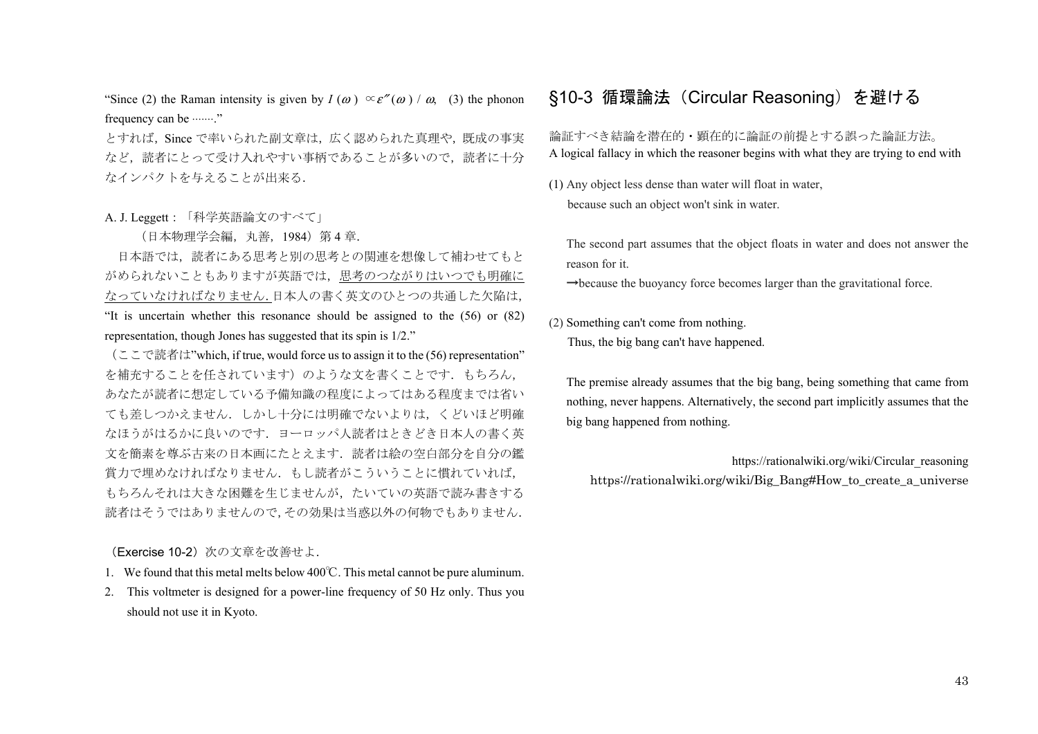"Since (2) the Raman intensity is given by  $I(\omega) \propto \varepsilon''(\omega) / \omega$ , (3) the phonon frequency can be  $\cdots \cdots$ ."

とすれば,Since で率いられた副文章は,広く認められた真理や,既成の事実 など、読者にとって受け入れやすい事柄であることが多いので、読者に十分 なインパクトを与えることが出来る.

#### A. J. Leggett:「科学英語論文のすべて」

(日本物理学会編,丸善,1984)第 4 章.

日本語では、読者にある思考と別の思考との関連を想像して補わせてもと がめられないこともありますが英語では,思考のつながりはいつでも明確に なっていなければなりません.日本人の書く英文のひとつの共通した欠陥は, "It is uncertain whether this resonance should be assigned to the (56) or (82) representation, though Jones has suggested that its spin is 1/2."

(ここで読者は"which, if true, would force us to assign it to the (56) representation" を補充することを任されています)のような文を書くことです. もちろん, あなたが読者に想定している予備知識の程度によってはある程度までは省い ても差しつかえません.しかし十分には明確でないよりは,くどいほど明確 なほうがはるかに良いのです.ヨーロッパ人読者はときどき日本人の書く英 文を簡素を尊ぶ古来の日本画にたとえます.読者は絵の空白部分を自分の鑑 賞力で埋めなければなりません.もし読者がこういうことに慣れていれば, もちろんそれは大きな困難を生じませんが,たいていの英語で読み書きする 読者はそうではありませんので,その効果は当惑以外の何物でもありません.

(Exercise 10-2) 次の文章を改善せよ.

- 1. We found that this metal melts below 400℃. This metal cannot be pure aluminum.
- 2. This voltmeter is designed for a power-line frequency of 50 Hz only. Thus you should not use it in Kyoto.

# §10-3 循環論法(Circular Reasoning)を避ける

#### 論証すべき結論を潜在的・顕在的に論証の前提とする誤った論証方法。 A logical fallacy in which the reasoner begins with what they are trying to end with

(1) Any object less dense than water will float in water, because such an object won't sink in water.

The second part assumes that the object floats in water and does not answer the reason for it.

 $\rightarrow$ because the buoyancy force becomes larger than the gravitational force.

(2) Something can't come from nothing. Thus, the big bang can't have happened.

The premise already assumes that the big bang, being something that came from nothing, never happens. Alternatively, the second part implicitly assumes that the big bang happened from nothing.

https://rationalwiki.org/wiki/Circular\_reasoning https://rationalwiki.org/wiki/Big\_Bang#How\_to\_create\_a\_universe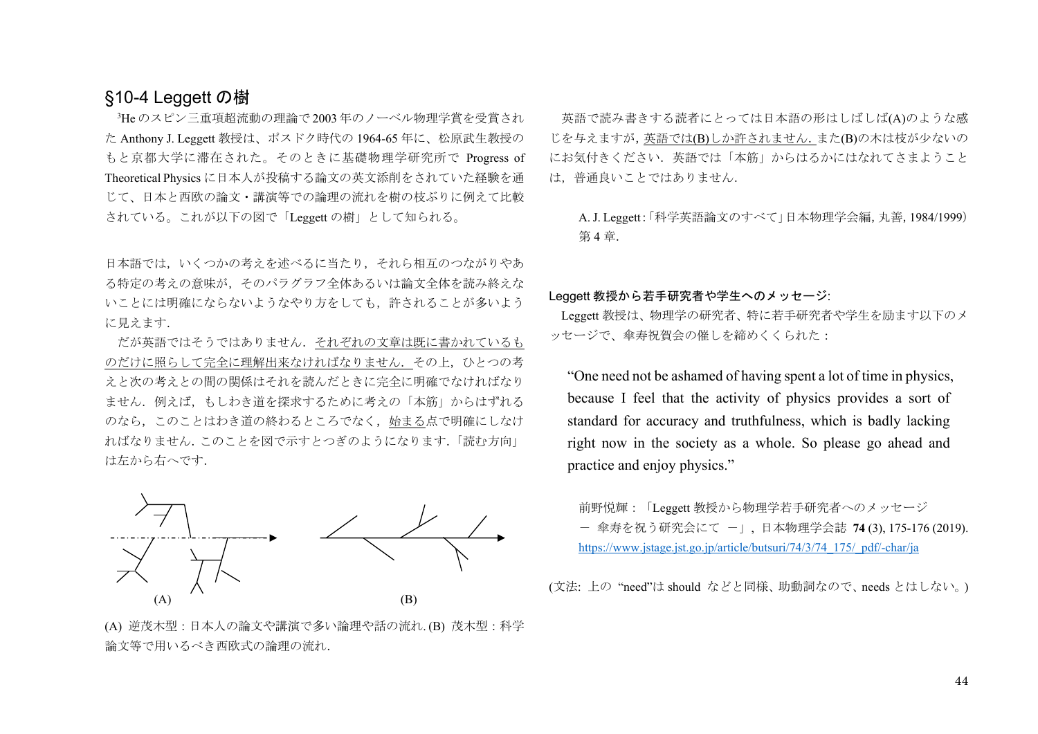# §10-4 Leggett の樹

3He のスピン三重項超流動の理論で 2003 年のノーベル物理学賞を受賞され た Anthony J. Leggett 教授は、ポスドク時代の 1964-65 年に、松原武生教授の もと京都大学に滞在された。そのときに基礎物理学研究所で Progress of Theoretical Physics に日本人が投稿する論文の英文添削をされていた経験を通 じて、日本と西欧の論文・講演等での論理の流れを樹の枝ぶりに例えて比較 されている。これが以下の図で「Leggett の樹」として知られる。

日本語では,いくつかの考えを述べるに当たり,それら相互のつながりやあ る特定の考えの意味が,そのパラグラフ全体あるいは論文全体を読み終えな いことには明確にならないようなやり方をしても,許されることが多いよう に見えます.

 だが英語ではそうではありません.それぞれの文章は既に書かれているも のだけに照らして完全に理解出来なければなりません. その上, ひとつの考 えと次の考えとの間の関係はそれを読んだときに完全に明確でなければなり ません.例えば,もしわき道を探求するために考えの「本筋」からはずれる のなら,このことはわき道の終わるところでなく,始まる点で明確にしなけ ればなりません.このことを図で示すとつぎのようになります.「読む方向」 は左から右へです.



(A) 逆茂木型:日本人の論文や講演で多い論理や話の流れ. (B) 茂木型:科学 論文等で用いるべき西欧式の論理の流れ.

 英語で読み書きする読者にとっては日本語の形はしばしば(A)のような感 じを与えますが,英語では(B)しか許されません.また(B)の木は枝が少ないの にお気付きください.英語では「本筋」からはるかにはなれてさまようこと は,普通良いことではありません.

A. J. Leggett:「科学英語論文のすべて」日本物理学会編,丸善,1984/1999) 第 4 章.

Leggett 教授から若手研究者や学生へのメッセージ:

Leggett 教授は、物理学の研究者、特に若手研究者や学生を励ます以下のメ ッセージで、傘寿祝賀会の催しを締めくくられた:

"One need not be ashamed of having spent a lot of time in physics, because I feel that the activity of physics provides a sort of standard for accuracy and truthfulness, which is badly lacking right now in the society as a whole. So please go ahead and practice and enjoy physics."

前野悦輝:「Leggett 教授から物理学若手研究者へのメッセージ - 傘寿を祝う研究会にて -」, 日本物理学会誌 **<sup>74</sup>** (3), 175-176 (2019). https://www.jstage.jst.go.jp/article/butsuri/74/3/74\_175/\_pdf/-char/ja

(文法: 上の "need"は should などと同様、助動詞なので、needs とはしない。)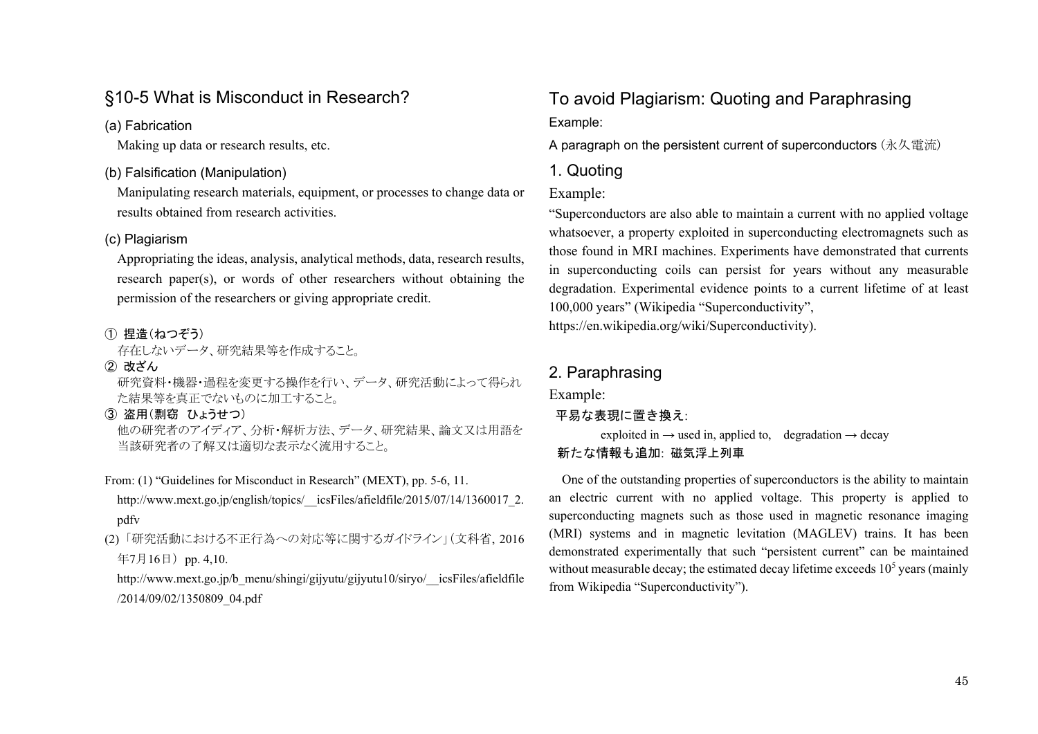# §10-5 What is Misconduct in Research?

#### (a) Fabrication

Making up data or research results, etc.

## (b) Falsification (Manipulation)

Manipulating research materials, equipment, or processes to change data or results obtained from research activities.

#### (c) Plagiarism

Appropriating the ideas, analysis, analytical methods, data, research results, research paper(s), or words of other researchers without obtaining the permission of the researchers or giving appropriate credit.

#### ① 捏造(ねつぞう)

存在しないデータ、研究結果等を作成すること。

- ② 改ざん 研究資料・機器・過程を変更する操作を行い、データ、研究活動によって得られ た結果等を真正でないものに加工すること。
- ③ 盗用(剽窃 ひょうせつ) 他の研究者のアイディア、分析・解析方法、データ、研究結果、論文又は用語を 当該研究者の了解又は適切な表示なく流用すること。
- From: (1) "Guidelines for Misconduct in Research" (MEXT), pp. 5-6, 11. http://www.mext.go.jp/english/topics/\_\_icsFiles/afieldfile/2015/07/14/1360017\_2. pdfv
- (2) 「研究活動における不正行為への対応等に関するガイドライン」(文科省, <sup>2016</sup> 年7月16日) pp. 4,10.

http://www.mext.go.jp/b\_menu/shingi/gijyutu/gijyutu10/siryo/\_\_icsFiles/afieldfile /2014/09/02/1350809\_04.pdf

# To avoid Plagiarism: Quoting and Paraphrasing

Example:

A paragraph on the persistent current of superconductors (永久電流)

## 1. Quoting

## Example:

"Superconductors are also able to maintain a current with no applied voltage whatsoever, a property exploited in superconducting electromagnets such as those found in MRI machines. Experiments have demonstrated that currents in superconducting coils can persist for years without any measurable degradation. Experimental evidence points to a current lifetime of at least 100,000 years" (Wikipedia "Superconductivity", https://en.wikipedia.org/wiki/Superconductivity).

## 2. Paraphrasing

Example:

#### 平易な表現に置き換え:

exploited in  $\rightarrow$  used in, applied to, degradation  $\rightarrow$  decay

## 新たな情報も追加: 磁気浮上列車

One of the outstanding properties of superconductors is the ability to maintain an electric current with no applied voltage. This property is applied to superconducting magnets such as those used in magnetic resonance imaging (MRI) systems and in magnetic levitation (MAGLEV) trains. It has been demonstrated experimentally that such "persistent current" can be maintained without measurable decay; the estimated decay lifetime exceeds  $10<sup>5</sup>$  years (mainly from Wikipedia "Superconductivity").